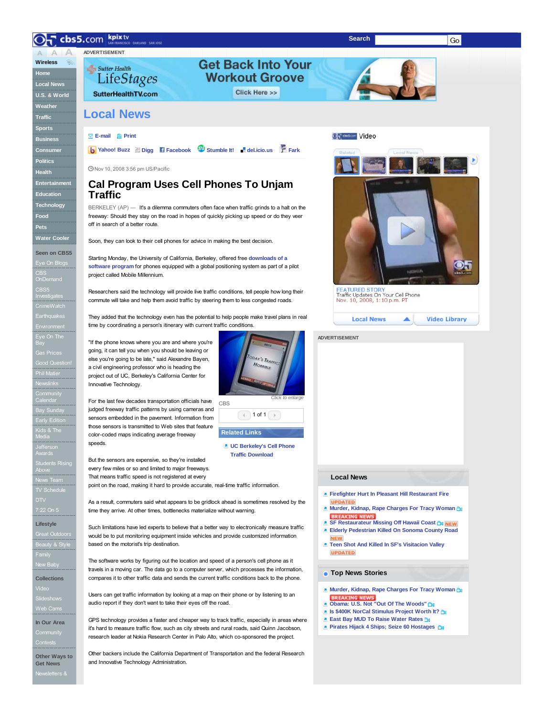